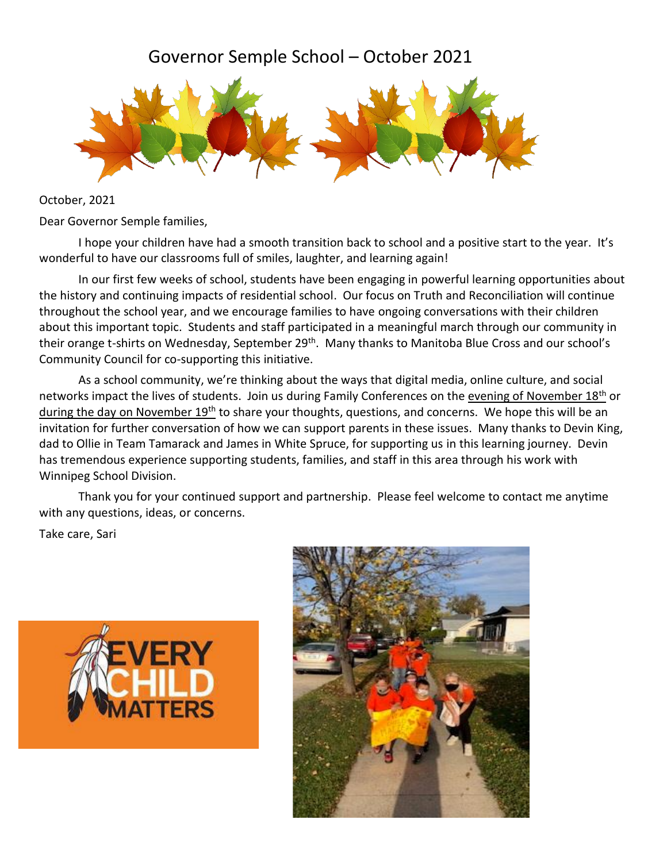## Governor Semple School – October 2021



October, 2021

Dear Governor Semple families,

I hope your children have had a smooth transition back to school and a positive start to the year. It's wonderful to have our classrooms full of smiles, laughter, and learning again!

In our first few weeks of school, students have been engaging in powerful learning opportunities about the history and continuing impacts of residential school. Our focus on Truth and Reconciliation will continue throughout the school year, and we encourage families to have ongoing conversations with their children about this important topic. Students and staff participated in a meaningful march through our community in their orange t-shirts on Wednesday, September 29<sup>th</sup>. Many thanks to Manitoba Blue Cross and our school's Community Council for co-supporting this initiative.

As a school community, we're thinking about the ways that digital media, online culture, and social networks impact the lives of students. Join us during Family Conferences on the evening of November 18<sup>th</sup> or during the day on November  $19<sup>th</sup>$  to share your thoughts, questions, and concerns. We hope this will be an invitation for further conversation of how we can support parents in these issues. Many thanks to Devin King, dad to Ollie in Team Tamarack and James in White Spruce, for supporting us in this learning journey. Devin has tremendous experience supporting students, families, and staff in this area through his work with Winnipeg School Division.

Thank you for your continued support and partnership. Please feel welcome to contact me anytime with any questions, ideas, or concerns.

Take care, Sari



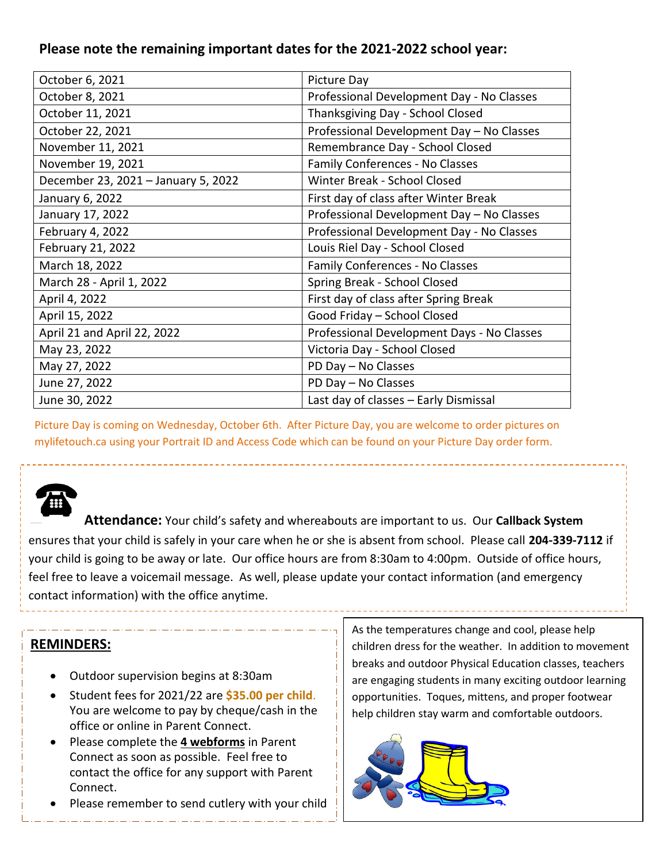#### **Please note the remaining important dates for the 2021-2022 school year:**

| October 6, 2021                     | Picture Day                                |
|-------------------------------------|--------------------------------------------|
| October 8, 2021                     | Professional Development Day - No Classes  |
| October 11, 2021                    | Thanksgiving Day - School Closed           |
| October 22, 2021                    | Professional Development Day - No Classes  |
| November 11, 2021                   | Remembrance Day - School Closed            |
| November 19, 2021                   | Family Conferences - No Classes            |
| December 23, 2021 - January 5, 2022 | Winter Break - School Closed               |
| January 6, 2022                     | First day of class after Winter Break      |
| January 17, 2022                    | Professional Development Day - No Classes  |
| February 4, 2022                    | Professional Development Day - No Classes  |
| February 21, 2022                   | Louis Riel Day - School Closed             |
| March 18, 2022                      | Family Conferences - No Classes            |
| March 28 - April 1, 2022            | Spring Break - School Closed               |
| April 4, 2022                       | First day of class after Spring Break      |
| April 15, 2022                      | Good Friday - School Closed                |
| April 21 and April 22, 2022         | Professional Development Days - No Classes |
| May 23, 2022                        | Victoria Day - School Closed               |
| May 27, 2022                        | PD Day - No Classes                        |
| June 27, 2022                       | PD Day - No Classes                        |
| June 30, 2022                       | Last day of classes - Early Dismissal      |

Picture Day is coming on Wednesday, October 6th. After Picture Day, you are welcome to order pictures on mylifetouch.ca using your Portrait ID and Access Code which can be found on your Picture Day order form.

**Attendance:** Your child's safety and whereabouts are important to us. Our **Callback System** ensures that your child is safely in your care when he or she is absent from school. Please call **204-339-7112** if your child is going to be away or late. Our office hours are from 8:30am to 4:00pm. Outside of office hours, feel free to leave a voicemail message. As well, please update your contact information (and emergency contact information) with the office anytime.

#### **REMINDERS:**

l,

- Outdoor supervision begins at 8:30am
- Student fees for 2021/22 are **\$35.00 per child**. You are welcome to pay by cheque/cash in the office or online in Parent Connect.
- Please complete the **4 webforms** in Parent Connect as soon as possible. Feel free to contact the office for any support with Parent Connect.
- Please remember to send cutlery with your child

As the temperatures change and cool, please help children dress for the weather. In addition to movement breaks and outdoor Physical Education classes, teachers are engaging students in many exciting outdoor learning opportunities. Toques, mittens, and proper footwear help children stay warm and comfortable outdoors.

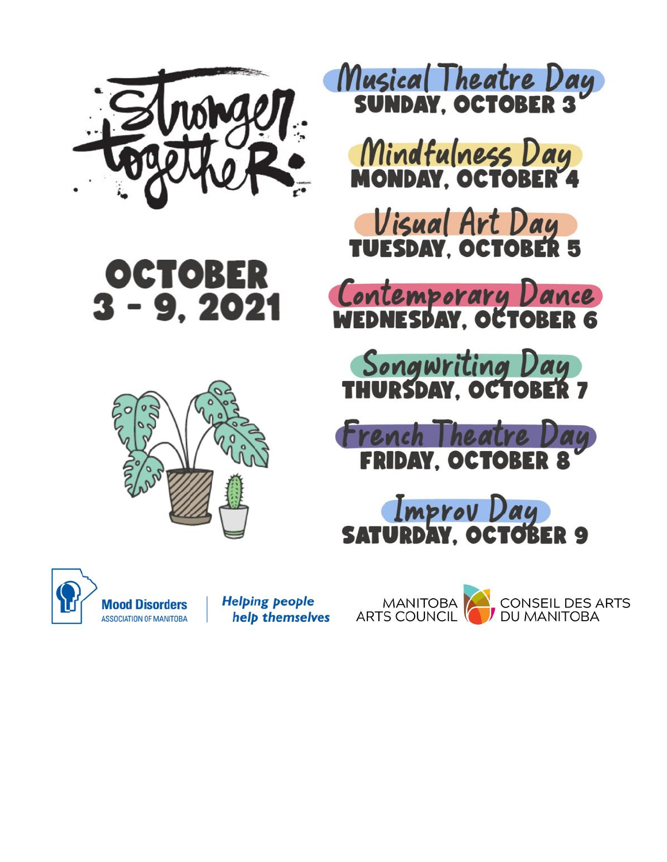





Musical Theatre Day

Mindfulness Day<br>MONDAY. OCTOBER 4

Visual Art Day<br>TUESDAY, OCTOBER 5

Contemporary Dance

Songwriting Day

French Theatre Da<br>FRIDAY, OCTOBER 8 ay

Improv Day<br>**IURDAY, OCTOBER 9** 



**Mood Disorders ASSOCIATION OF MANITOBA**  **Helping people** help themselves